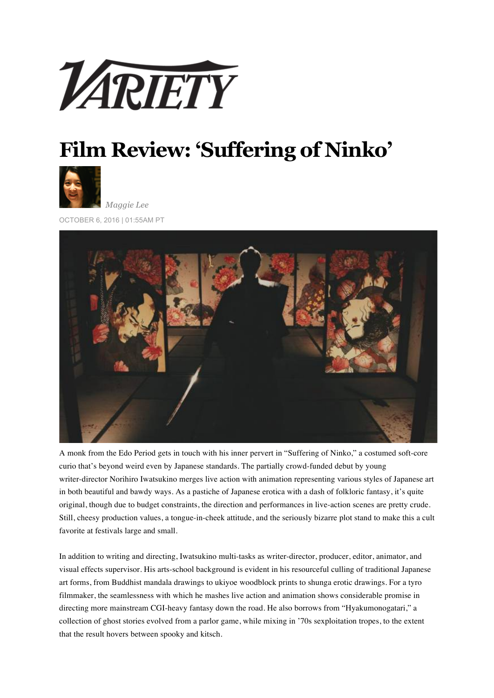

## **Film Review: 'Suffering of Ninko'**



*Maggie Lee*

OCTOBER 6, 2016 | 01:55AM PT



A monk from the Edo Period gets in touch with his inner pervert in "Suffering of Ninko," a costumed soft-core curio that's beyond weird even by Japanese standards. The partially crowd-funded debut by young writer-director Norihiro Iwatsukino merges live action with animation representing various styles of Japanese art in both beautiful and bawdy ways. As a pastiche of Japanese erotica with a dash of folkloric fantasy, it's quite original, though due to budget constraints, the direction and performances in live-action scenes are pretty crude. Still, cheesy production values, a tongue-in-cheek attitude, and the seriously bizarre plot stand to make this a cult favorite at festivals large and small.

In addition to writing and directing, Iwatsukino multi-tasks as writer-director, producer, editor, animator, and visual effects supervisor. His arts-school background is evident in his resourceful culling of traditional Japanese art forms, from Buddhist mandala drawings to ukiyoe woodblock prints to shunga erotic drawings. For a tyro filmmaker, the seamlessness with which he mashes live action and animation shows considerable promise in directing more mainstream CGI-heavy fantasy down the road. He also borrows from "Hyakumonogatari," a collection of ghost stories evolved from a parlor game, while mixing in '70s sexploitation tropes, to the extent that the result hovers between spooky and kitsch.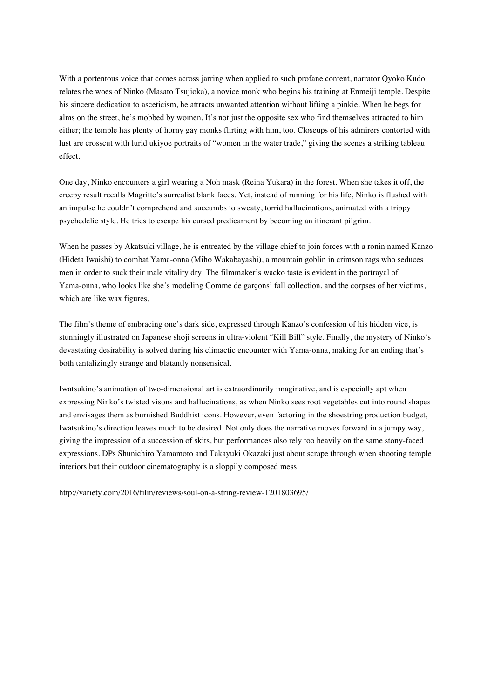With a portentous voice that comes across jarring when applied to such profane content, narrator Qyoko Kudo relates the woes of Ninko (Masato Tsujioka), a novice monk who begins his training at Enmeiji temple. Despite his sincere dedication to asceticism, he attracts unwanted attention without lifting a pinkie. When he begs for alms on the street, he's mobbed by women. It's not just the opposite sex who find themselves attracted to him either; the temple has plenty of horny gay monks flirting with him, too. Closeups of his admirers contorted with lust are crosscut with lurid ukiyoe portraits of "women in the water trade," giving the scenes a striking tableau effect.

One day, Ninko encounters a girl wearing a Noh mask (Reina Yukara) in the forest. When she takes it off, the creepy result recalls Magritte's surrealist blank faces. Yet, instead of running for his life, Ninko is flushed with an impulse he couldn't comprehend and succumbs to sweaty, torrid hallucinations, animated with a trippy psychedelic style. He tries to escape his cursed predicament by becoming an itinerant pilgrim.

When he passes by Akatsuki village, he is entreated by the village chief to join forces with a ronin named Kanzo (Hideta Iwaishi) to combat Yama-onna (Miho Wakabayashi), a mountain goblin in crimson rags who seduces men in order to suck their male vitality dry. The filmmaker's wacko taste is evident in the portrayal of Yama-onna, who looks like she's modeling Comme de garçons' fall collection, and the corpses of her victims, which are like wax figures.

The film's theme of embracing one's dark side, expressed through Kanzo's confession of his hidden vice, is stunningly illustrated on Japanese shoji screens in ultra-violent "Kill Bill" style. Finally, the mystery of Ninko's devastating desirability is solved during his climactic encounter with Yama-onna, making for an ending that's both tantalizingly strange and blatantly nonsensical.

Iwatsukino's animation of two-dimensional art is extraordinarily imaginative, and is especially apt when expressing Ninko's twisted visons and hallucinations, as when Ninko sees root vegetables cut into round shapes and envisages them as burnished Buddhist icons. However, even factoring in the shoestring production budget, Iwatsukino's direction leaves much to be desired. Not only does the narrative moves forward in a jumpy way, giving the impression of a succession of skits, but performances also rely too heavily on the same stony-faced expressions. DPs Shunichiro Yamamoto and Takayuki Okazaki just about scrape through when shooting temple interiors but their outdoor cinematography is a sloppily composed mess.

http://variety.com/2016/film/reviews/soul-on-a-string-review-1201803695/